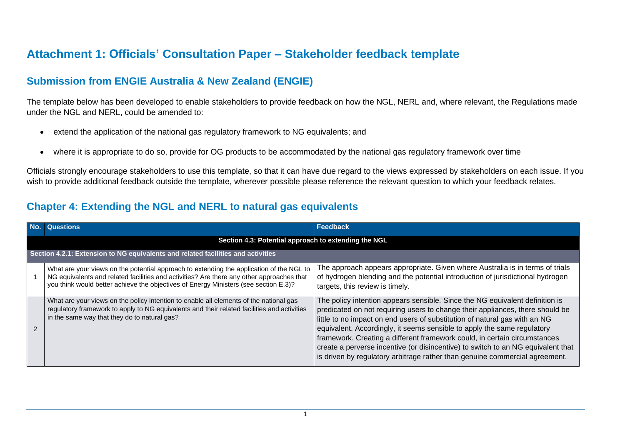## **Attachment 1: Officials' Consultation Paper – Stakeholder feedback template**

## **Submission from ENGIE Australia & New Zealand (ENGIE)**

The template below has been developed to enable stakeholders to provide feedback on how the NGL, NERL and, where relevant, the Regulations made under the NGL and NERL, could be amended to:

- extend the application of the national gas regulatory framework to NG equivalents; and
- where it is appropriate to do so, provide for OG products to be accommodated by the national gas regulatory framework over time

Officials strongly encourage stakeholders to use this template, so that it can have due regard to the views expressed by stakeholders on each issue. If you wish to provide additional feedback outside the template, wherever possible please reference the relevant question to which your feedback relates.

## **Chapter 4: Extending the NGL and NERL to natural gas equivalents**

|                                                                                  | <b>Questions</b>                                                                                                                                                                                                                                                              | Feedback                                                                                                                                                                                                                                                                                                                                                                                                                                                                                                                                                               |  |
|----------------------------------------------------------------------------------|-------------------------------------------------------------------------------------------------------------------------------------------------------------------------------------------------------------------------------------------------------------------------------|------------------------------------------------------------------------------------------------------------------------------------------------------------------------------------------------------------------------------------------------------------------------------------------------------------------------------------------------------------------------------------------------------------------------------------------------------------------------------------------------------------------------------------------------------------------------|--|
|                                                                                  | Section 4.3: Potential approach to extending the NGL                                                                                                                                                                                                                          |                                                                                                                                                                                                                                                                                                                                                                                                                                                                                                                                                                        |  |
| Section 4.2.1: Extension to NG equivalents and related facilities and activities |                                                                                                                                                                                                                                                                               |                                                                                                                                                                                                                                                                                                                                                                                                                                                                                                                                                                        |  |
|                                                                                  | What are your views on the potential approach to extending the application of the NGL to<br>NG equivalents and related facilities and activities? Are there any other approaches that<br>you think would better achieve the objectives of Energy Ministers (see section E.3)? | The approach appears appropriate. Given where Australia is in terms of trials<br>of hydrogen blending and the potential introduction of jurisdictional hydrogen<br>targets, this review is timely.                                                                                                                                                                                                                                                                                                                                                                     |  |
|                                                                                  | What are your views on the policy intention to enable all elements of the national gas<br>regulatory framework to apply to NG equivalents and their related facilities and activities<br>in the same way that they do to natural gas?                                         | The policy intention appears sensible. Since the NG equivalent definition is<br>predicated on not requiring users to change their appliances, there should be<br>little to no impact on end users of substitution of natural gas with an NG<br>equivalent. Accordingly, it seems sensible to apply the same regulatory<br>framework. Creating a different framework could, in certain circumstances<br>create a perverse incentive (or disincentive) to switch to an NG equivalent that<br>is driven by regulatory arbitrage rather than genuine commercial agreement. |  |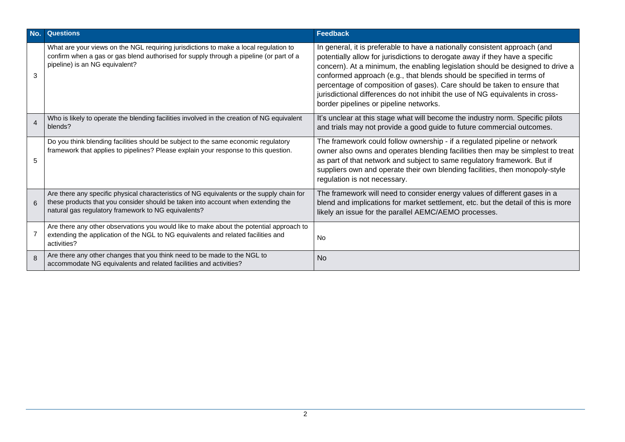| No.            | <b>Questions</b>                                                                                                                                                                                                                     | <b>Feedback</b>                                                                                                                                                                                                                                                                                                                                                                                                                                                                                                              |
|----------------|--------------------------------------------------------------------------------------------------------------------------------------------------------------------------------------------------------------------------------------|------------------------------------------------------------------------------------------------------------------------------------------------------------------------------------------------------------------------------------------------------------------------------------------------------------------------------------------------------------------------------------------------------------------------------------------------------------------------------------------------------------------------------|
| 3              | What are your views on the NGL requiring jurisdictions to make a local regulation to<br>confirm when a gas or gas blend authorised for supply through a pipeline (or part of a<br>pipeline) is an NG equivalent?                     | In general, it is preferable to have a nationally consistent approach (and<br>potentially allow for jurisdictions to derogate away if they have a specific<br>concern). At a minimum, the enabling legislation should be designed to drive a<br>conformed approach (e.g., that blends should be specified in terms of<br>percentage of composition of gases). Care should be taken to ensure that<br>jurisdictional differences do not inhibit the use of NG equivalents in cross-<br>border pipelines or pipeline networks. |
| $\overline{4}$ | Who is likely to operate the blending facilities involved in the creation of NG equivalent<br>blends?                                                                                                                                | It's unclear at this stage what will become the industry norm. Specific pilots<br>and trials may not provide a good guide to future commercial outcomes.                                                                                                                                                                                                                                                                                                                                                                     |
| 5              | Do you think blending facilities should be subject to the same economic regulatory<br>framework that applies to pipelines? Please explain your response to this question.                                                            | The framework could follow ownership - if a regulated pipeline or network<br>owner also owns and operates blending facilities then may be simplest to treat<br>as part of that network and subject to same regulatory framework. But if<br>suppliers own and operate their own blending facilities, then monopoly-style<br>regulation is not necessary.                                                                                                                                                                      |
| 6              | Are there any specific physical characteristics of NG equivalents or the supply chain for<br>these products that you consider should be taken into account when extending the<br>natural gas regulatory framework to NG equivalents? | The framework will need to consider energy values of different gases in a<br>blend and implications for market settlement, etc. but the detail of this is more<br>likely an issue for the parallel AEMC/AEMO processes.                                                                                                                                                                                                                                                                                                      |
|                | Are there any other observations you would like to make about the potential approach to<br>extending the application of the NGL to NG equivalents and related facilities and<br>activities?                                          | <b>No</b>                                                                                                                                                                                                                                                                                                                                                                                                                                                                                                                    |
| 8              | Are there any other changes that you think need to be made to the NGL to<br>accommodate NG equivalents and related facilities and activities?                                                                                        | <b>No</b>                                                                                                                                                                                                                                                                                                                                                                                                                                                                                                                    |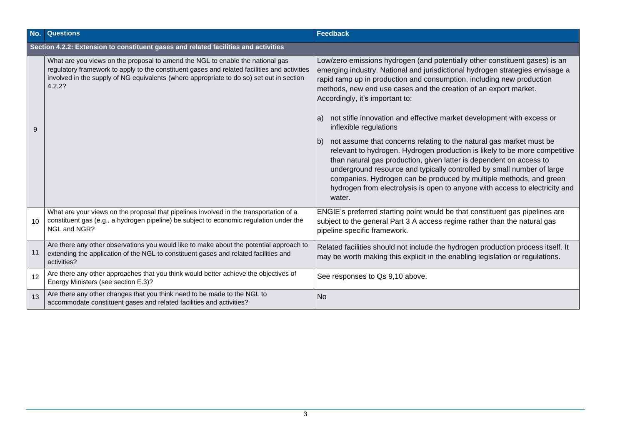| No. | <b>Questions</b>                                                                                                                                                                                                                                                                     | <b>Feedback</b>                                                                                                                                                                                                                                                                                                                                                                                                                                                                                                                                                                                                                                                                                                                                                   |  |  |
|-----|--------------------------------------------------------------------------------------------------------------------------------------------------------------------------------------------------------------------------------------------------------------------------------------|-------------------------------------------------------------------------------------------------------------------------------------------------------------------------------------------------------------------------------------------------------------------------------------------------------------------------------------------------------------------------------------------------------------------------------------------------------------------------------------------------------------------------------------------------------------------------------------------------------------------------------------------------------------------------------------------------------------------------------------------------------------------|--|--|
|     | Section 4.2.2: Extension to constituent gases and related facilities and activities                                                                                                                                                                                                  |                                                                                                                                                                                                                                                                                                                                                                                                                                                                                                                                                                                                                                                                                                                                                                   |  |  |
| 9   | What are you views on the proposal to amend the NGL to enable the national gas<br>regulatory framework to apply to the constituent gases and related facilities and activities<br>involved in the supply of NG equivalents (where appropriate to do so) set out in section<br>4.2.2? | Low/zero emissions hydrogen (and potentially other constituent gases) is an<br>emerging industry. National and jurisdictional hydrogen strategies envisage a<br>rapid ramp up in production and consumption, including new production<br>methods, new end use cases and the creation of an export market.<br>Accordingly, it's important to:<br>not stifle innovation and effective market development with excess or<br>a)<br>inflexible regulations<br>not assume that concerns relating to the natural gas market must be<br>b)<br>relevant to hydrogen. Hydrogen production is likely to be more competitive<br>than natural gas production, given latter is dependent on access to<br>underground resource and typically controlled by small number of large |  |  |
|     |                                                                                                                                                                                                                                                                                      | companies. Hydrogen can be produced by multiple methods, and green<br>hydrogen from electrolysis is open to anyone with access to electricity and<br>water.                                                                                                                                                                                                                                                                                                                                                                                                                                                                                                                                                                                                       |  |  |
| 10  | What are your views on the proposal that pipelines involved in the transportation of a<br>constituent gas (e.g., a hydrogen pipeline) be subject to economic regulation under the<br>NGL and NGR?                                                                                    | ENGIE's preferred starting point would be that constituent gas pipelines are<br>subject to the general Part 3 A access regime rather than the natural gas<br>pipeline specific framework.                                                                                                                                                                                                                                                                                                                                                                                                                                                                                                                                                                         |  |  |
| 11  | Are there any other observations you would like to make about the potential approach to<br>extending the application of the NGL to constituent gases and related facilities and<br>activities?                                                                                       | Related facilities should not include the hydrogen production process itself. It<br>may be worth making this explicit in the enabling legislation or regulations.                                                                                                                                                                                                                                                                                                                                                                                                                                                                                                                                                                                                 |  |  |
| 12  | Are there any other approaches that you think would better achieve the objectives of<br>Energy Ministers (see section E.3)?                                                                                                                                                          | See responses to Qs 9,10 above.                                                                                                                                                                                                                                                                                                                                                                                                                                                                                                                                                                                                                                                                                                                                   |  |  |
| 13  | Are there any other changes that you think need to be made to the NGL to<br>accommodate constituent gases and related facilities and activities?                                                                                                                                     | <b>No</b>                                                                                                                                                                                                                                                                                                                                                                                                                                                                                                                                                                                                                                                                                                                                                         |  |  |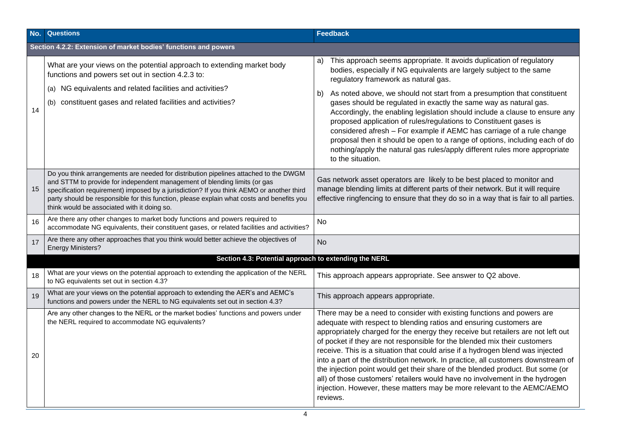| No. | <b>Questions</b>                                                                                                                                                                                                                                                                                                                                                                                          | Feedback                                                                                                                                                                                                                                                                                                                                                                                                                                                                                                                                                                                                                                                                                                                                       |  |  |
|-----|-----------------------------------------------------------------------------------------------------------------------------------------------------------------------------------------------------------------------------------------------------------------------------------------------------------------------------------------------------------------------------------------------------------|------------------------------------------------------------------------------------------------------------------------------------------------------------------------------------------------------------------------------------------------------------------------------------------------------------------------------------------------------------------------------------------------------------------------------------------------------------------------------------------------------------------------------------------------------------------------------------------------------------------------------------------------------------------------------------------------------------------------------------------------|--|--|
|     | Section 4.2.2: Extension of market bodies' functions and powers                                                                                                                                                                                                                                                                                                                                           |                                                                                                                                                                                                                                                                                                                                                                                                                                                                                                                                                                                                                                                                                                                                                |  |  |
|     | What are your views on the potential approach to extending market body<br>functions and powers set out in section 4.2.3 to:                                                                                                                                                                                                                                                                               | This approach seems appropriate. It avoids duplication of regulatory<br>a)<br>bodies, especially if NG equivalents are largely subject to the same<br>regulatory framework as natural gas.                                                                                                                                                                                                                                                                                                                                                                                                                                                                                                                                                     |  |  |
|     | NG equivalents and related facilities and activities?                                                                                                                                                                                                                                                                                                                                                     | As noted above, we should not start from a presumption that constituent<br>b)                                                                                                                                                                                                                                                                                                                                                                                                                                                                                                                                                                                                                                                                  |  |  |
| 14  | constituent gases and related facilities and activities?<br>(b)                                                                                                                                                                                                                                                                                                                                           | gases should be regulated in exactly the same way as natural gas.<br>Accordingly, the enabling legislation should include a clause to ensure any<br>proposed application of rules/regulations to Constituent gases is<br>considered afresh - For example if AEMC has carriage of a rule change<br>proposal then it should be open to a range of options, including each of do<br>nothing/apply the natural gas rules/apply different rules more appropriate<br>to the situation.                                                                                                                                                                                                                                                               |  |  |
| 15  | Do you think arrangements are needed for distribution pipelines attached to the DWGM<br>and STTM to provide for independent management of blending limits (or gas<br>specification requirement) imposed by a jurisdiction? If you think AEMO or another third<br>party should be responsible for this function, please explain what costs and benefits you<br>think would be associated with it doing so. | Gas network asset operators are likely to be best placed to monitor and<br>manage blending limits at different parts of their network. But it will require<br>effective ringfencing to ensure that they do so in a way that is fair to all parties.                                                                                                                                                                                                                                                                                                                                                                                                                                                                                            |  |  |
| 16  | Are there any other changes to market body functions and powers required to<br>accommodate NG equivalents, their constituent gases, or related facilities and activities?                                                                                                                                                                                                                                 | No                                                                                                                                                                                                                                                                                                                                                                                                                                                                                                                                                                                                                                                                                                                                             |  |  |
| 17  | Are there any other approaches that you think would better achieve the objectives of<br><b>Energy Ministers?</b>                                                                                                                                                                                                                                                                                          | <b>No</b>                                                                                                                                                                                                                                                                                                                                                                                                                                                                                                                                                                                                                                                                                                                                      |  |  |
|     | Section 4.3: Potential approach to extending the NERL                                                                                                                                                                                                                                                                                                                                                     |                                                                                                                                                                                                                                                                                                                                                                                                                                                                                                                                                                                                                                                                                                                                                |  |  |
| 18  | What are your views on the potential approach to extending the application of the NERL<br>to NG equivalents set out in section 4.3?                                                                                                                                                                                                                                                                       | This approach appears appropriate. See answer to Q2 above.                                                                                                                                                                                                                                                                                                                                                                                                                                                                                                                                                                                                                                                                                     |  |  |
| 19  | What are your views on the potential approach to extending the AER's and AEMC's<br>functions and powers under the NERL to NG equivalents set out in section 4.3?                                                                                                                                                                                                                                          | This approach appears appropriate.                                                                                                                                                                                                                                                                                                                                                                                                                                                                                                                                                                                                                                                                                                             |  |  |
| 20  | Are any other changes to the NERL or the market bodies' functions and powers under<br>the NERL required to accommodate NG equivalents?                                                                                                                                                                                                                                                                    | There may be a need to consider with existing functions and powers are<br>adequate with respect to blending ratios and ensuring customers are<br>appropriately charged for the energy they receive but retailers are not left out<br>of pocket if they are not responsible for the blended mix their customers<br>receive. This is a situation that could arise if a hydrogen blend was injected<br>into a part of the distribution network. In practice, all customers downstream of<br>the injection point would get their share of the blended product. But some (or<br>all) of those customers' retailers would have no involvement in the hydrogen<br>injection. However, these matters may be more relevant to the AEMC/AEMO<br>reviews. |  |  |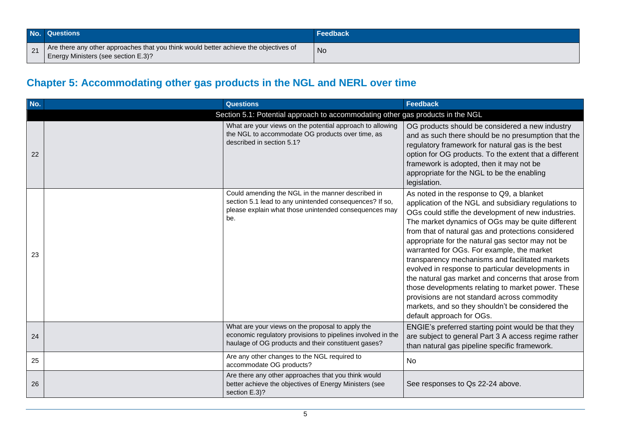|             | No. Questions                                                                                                               | <b>\Feedback</b> |
|-------------|-----------------------------------------------------------------------------------------------------------------------------|------------------|
| $\sqrt{21}$ | Are there any other approaches that you think would better achieve the objectives of<br>Energy Ministers (see section E.3)? | No               |

## **Chapter 5: Accommodating other gas products in the NGL and NERL over time**

| No.                                                                            | <b>Questions</b>                                                                                                                                                             | <b>Feedback</b>                                                                                                                                                                                                                                                                                                                                                                                                                                                                                                                                                                                                                                                                                                               |  |
|--------------------------------------------------------------------------------|------------------------------------------------------------------------------------------------------------------------------------------------------------------------------|-------------------------------------------------------------------------------------------------------------------------------------------------------------------------------------------------------------------------------------------------------------------------------------------------------------------------------------------------------------------------------------------------------------------------------------------------------------------------------------------------------------------------------------------------------------------------------------------------------------------------------------------------------------------------------------------------------------------------------|--|
| Section 5.1: Potential approach to accommodating other gas products in the NGL |                                                                                                                                                                              |                                                                                                                                                                                                                                                                                                                                                                                                                                                                                                                                                                                                                                                                                                                               |  |
| 22                                                                             | What are your views on the potential approach to allowing<br>the NGL to accommodate OG products over time, as<br>described in section 5.1?                                   | OG products should be considered a new industry<br>and as such there should be no presumption that the<br>regulatory framework for natural gas is the best<br>option for OG products. To the extent that a different<br>framework is adopted, then it may not be<br>appropriate for the NGL to be the enabling<br>legislation.                                                                                                                                                                                                                                                                                                                                                                                                |  |
| 23                                                                             | Could amending the NGL in the manner described in<br>section 5.1 lead to any unintended consequences? If so,<br>please explain what those unintended consequences may<br>be. | As noted in the response to Q9, a blanket<br>application of the NGL and subsidiary regulations to<br>OGs could stifle the development of new industries.<br>The market dynamics of OGs may be quite different<br>from that of natural gas and protections considered<br>appropriate for the natural gas sector may not be<br>warranted for OGs. For example, the market<br>transparency mechanisms and facilitated markets<br>evolved in response to particular developments in<br>the natural gas market and concerns that arose from<br>those developments relating to market power. These<br>provisions are not standard across commodity<br>markets, and so they shouldn't be considered the<br>default approach for OGs. |  |
| 24                                                                             | What are your views on the proposal to apply the<br>economic regulatory provisions to pipelines involved in the<br>haulage of OG products and their constituent gases?       | ENGIE's preferred starting point would be that they<br>are subject to general Part 3 A access regime rather<br>than natural gas pipeline specific framework.                                                                                                                                                                                                                                                                                                                                                                                                                                                                                                                                                                  |  |
| 25                                                                             | Are any other changes to the NGL required to<br>accommodate OG products?                                                                                                     | <b>No</b>                                                                                                                                                                                                                                                                                                                                                                                                                                                                                                                                                                                                                                                                                                                     |  |
| 26                                                                             | Are there any other approaches that you think would<br>better achieve the objectives of Energy Ministers (see<br>section E.3)?                                               | See responses to Qs 22-24 above.                                                                                                                                                                                                                                                                                                                                                                                                                                                                                                                                                                                                                                                                                              |  |